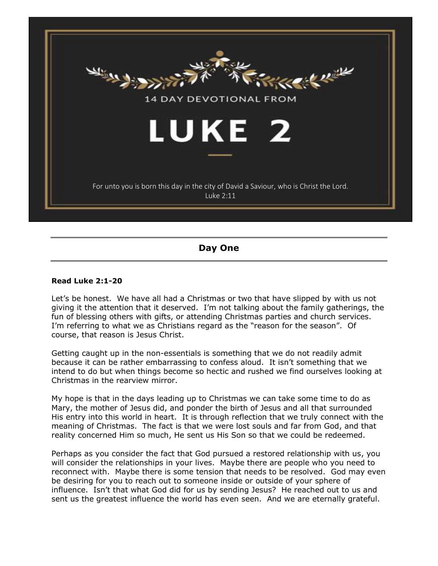

# **Day One**

#### **Read Luke 2:1-20**

Let's be honest. We have all had a Christmas or two that have slipped by with us not giving it the attention that it deserved. I'm not talking about the family gatherings, the fun of blessing others with gifts, or attending Christmas parties and church services. I'm referring to what we as Christians regard as the "reason for the season". Of course, that reason is Jesus Christ.

Getting caught up in the non-essentials is something that we do not readily admit because it can be rather embarrassing to confess aloud. It isn't something that we intend to do but when things become so hectic and rushed we find ourselves looking at Christmas in the rearview mirror.

My hope is that in the days leading up to Christmas we can take some time to do as Mary, the mother of Jesus did, and ponder the birth of Jesus and all that surrounded His entry into this world in heart. It is through reflection that we truly connect with the meaning of Christmas. The fact is that we were lost souls and far from God, and that reality concerned Him so much, He sent us His Son so that we could be redeemed.

Perhaps as you consider the fact that God pursued a restored relationship with us, you will consider the relationships in your lives. Maybe there are people who you need to reconnect with. Maybe there is some tension that needs to be resolved. God may even be desiring for you to reach out to someone inside or outside of your sphere of influence. Isn't that what God did for us by sending Jesus? He reached out to us and sent us the greatest influence the world has even seen. And we are eternally grateful.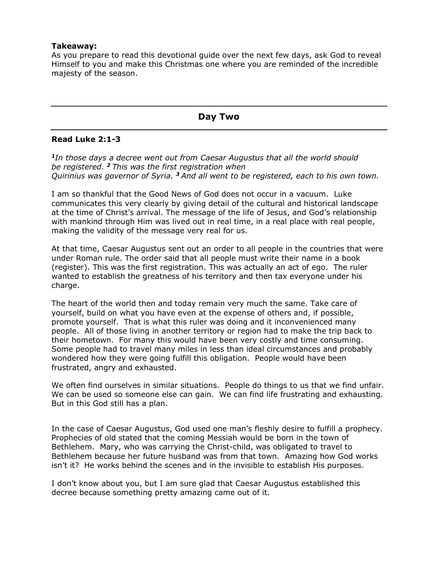#### **Takeaway:**

As you prepare to read this devotional guide over the next few days, ask God to reveal Himself to you and make this Christmas one where you are reminded of the incredible majesty of the season.

# **Day Two**

### **Read Luke 2:1-3**

*<sup>1</sup>In those days a decree went out from Caesar Augustus that all the world should be registered. <sup>2</sup> This was the first registration when Quirinius was governor of Syria. <sup>3</sup> And all went to be registered, each to his own town.*

I am so thankful that the Good News of God does not occur in a vacuum. Luke communicates this very clearly by giving detail of the cultural and historical landscape at the time of Christ's arrival. The message of the life of Jesus, and God's relationship with mankind through Him was lived out in real time, in a real place with real people, making the validity of the message very real for us.

At that time, Caesar Augustus sent out an order to all people in the countries that were under Roman rule. The order said that all people must write their name in a book (register). This was the first registration. This was actually an act of ego. The ruler wanted to establish the greatness of his territory and then tax everyone under his charge.

The heart of the world then and today remain very much the same. Take care of yourself, build on what you have even at the expense of others and, if possible, promote yourself. That is what this ruler was doing and it inconvenienced many people. All of those living in another territory or region had to make the trip back to their hometown. For many this would have been very costly and time consuming. Some people had to travel many miles in less than ideal circumstances and probably wondered how they were going fulfill this obligation. People would have been frustrated, angry and exhausted.

We often find ourselves in similar situations. People do things to us that we find unfair. We can be used so someone else can gain. We can find life frustrating and exhausting. But in this God still has a plan.

In the case of Caesar Augustus, God used one man's fleshly desire to fulfill a prophecy. Prophecies of old stated that the coming Messiah would be born in the town of Bethlehem. Mary, who was carrying the Christ-child, was obligated to travel to Bethlehem because her future husband was from that town. Amazing how God works isn't it? He works behind the scenes and in the invisible to establish His purposes.

I don't know about you, but I am sure glad that Caesar Augustus established this decree because something pretty amazing came out of it.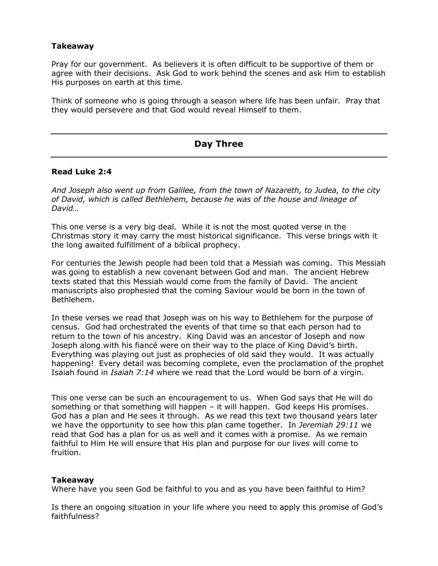#### **Takeaway**

Pray for our government. As believers it is often difficult to be supportive of them or agree with their decisions. Ask God to work behind the scenes and ask Him to establish His purposes on earth at this time.

Think of someone who is going through a season where life has been unfair. Pray that they would persevere and that God would reveal Himself to them.

# **Day Three**

#### **Read Luke 2:4**

*And Joseph also went up from Galilee, from the town of Nazareth, to Judea, to the city of David, which is called Bethlehem, because he was of the house and lineage of David…*

This one verse is a very big deal. While it is not the most quoted verse in the Christmas story it may carry the most historical significance. This verse brings with it the long awaited fulfillment of a biblical prophecy.

For centuries the Jewish people had been told that a Messiah was coming. This Messiah was going to establish a new covenant between God and man. The ancient Hebrew texts stated that this Messiah would come from the family of David. The ancient manuscripts also prophesied that the coming Saviour would be born in the town of Bethlehem.

In these verses we read that Joseph was on his way to Bethlehem for the purpose of census. God had orchestrated the events of that time so that each person had to return to the town of his ancestry. King David was an ancestor of Joseph and now Joseph along with his fiancé were on their way to the place of King David's birth. Everything was playing out just as prophecies of old said they would. It was actually happening! Every detail was becoming complete, even the proclamation of the prophet Isaiah found in *Isaiah 7:14* where we read that the Lord would be born of a virgin.

This one verse can be such an encouragement to us. When God says that He will do something or that something will happen – it will happen. God keeps His promises. God has a plan and He sees it through. As we read this text two thousand years later we have the opportunity to see how this plan came together. In *Jeremiah 29:11* we read that God has a plan for us as well and it comes with a promise. As we remain faithful to Him He will ensure that His plan and purpose for our lives will come to fruition.

#### **Takeaway**

Where have you seen God be faithful to you and as you have been faithful to Him?

Is there an ongoing situation in your life where you need to apply this promise of God's faithfulness?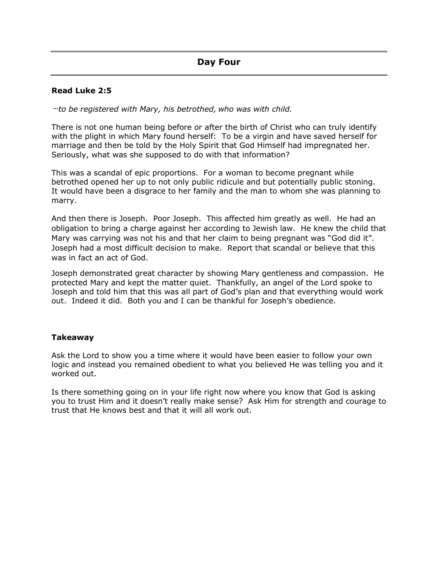## **Read Luke 2:5**

**…***to be registered with Mary, his betrothed, who was with child.*

There is not one human being before or after the birth of Christ who can truly identify with the plight in which Mary found herself: To be a virgin and have saved herself for marriage and then be told by the Holy Spirit that God Himself had impregnated her. Seriously, what was she supposed to do with that information?

This was a scandal of epic proportions. For a woman to become pregnant while betrothed opened her up to not only public ridicule and but potentially public stoning. It would have been a disgrace to her family and the man to whom she was planning to marry.

And then there is Joseph. Poor Joseph. This affected him greatly as well. He had an obligation to bring a charge against her according to Jewish law. He knew the child that Mary was carrying was not his and that her claim to being pregnant was "God did it". Joseph had a most difficult decision to make. Report that scandal or believe that this was in fact an act of God.

Joseph demonstrated great character by showing Mary gentleness and compassion. He protected Mary and kept the matter quiet. Thankfully, an angel of the Lord spoke to Joseph and told him that this was all part of God's plan and that everything would work out. Indeed it did. Both you and I can be thankful for Joseph's obedience.

## **Takeaway**

Ask the Lord to show you a time where it would have been easier to follow your own logic and instead you remained obedient to what you believed He was telling you and it worked out.

Is there something going on in your life right now where you know that God is asking you to trust Him and it doesn't really make sense? Ask Him for strength and courage to trust that He knows best and that it will all work out.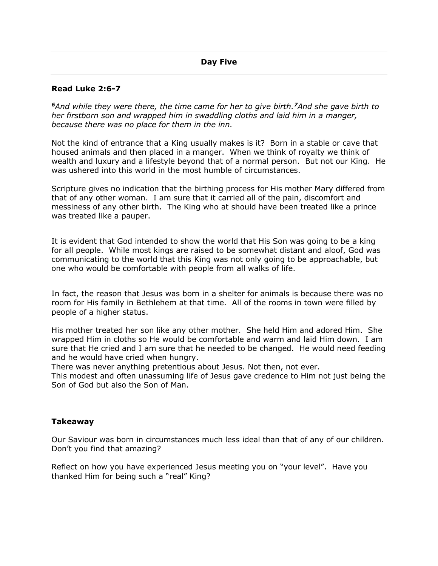## **Read Luke 2:6-7**

*<sup>6</sup>And while they were there, the time came for her to give birth.<sup>7</sup>And she gave birth to her firstborn son and wrapped him in swaddling cloths and laid him in a manger, because there was no place for them in the inn.*

Not the kind of entrance that a King usually makes is it? Born in a stable or cave that housed animals and then placed in a manger. When we think of royalty we think of wealth and luxury and a lifestyle beyond that of a normal person. But not our King. He was ushered into this world in the most humble of circumstances.

Scripture gives no indication that the birthing process for His mother Mary differed from that of any other woman. I am sure that it carried all of the pain, discomfort and messiness of any other birth. The King who at should have been treated like a prince was treated like a pauper.

It is evident that God intended to show the world that His Son was going to be a king for all people. While most kings are raised to be somewhat distant and aloof, God was communicating to the world that this King was not only going to be approachable, but one who would be comfortable with people from all walks of life.

In fact, the reason that Jesus was born in a shelter for animals is because there was no room for His family in Bethlehem at that time. All of the rooms in town were filled by people of a higher status.

His mother treated her son like any other mother. She held Him and adored Him. She wrapped Him in cloths so He would be comfortable and warm and laid Him down. I am sure that He cried and I am sure that he needed to be changed. He would need feeding and he would have cried when hungry.

There was never anything pretentious about Jesus. Not then, not ever.

This modest and often unassuming life of Jesus gave credence to Him not just being the Son of God but also the Son of Man.

## **Takeaway**

Our Saviour was born in circumstances much less ideal than that of any of our children. Don't you find that amazing?

Reflect on how you have experienced Jesus meeting you on "your level". Have you thanked Him for being such a "real" King?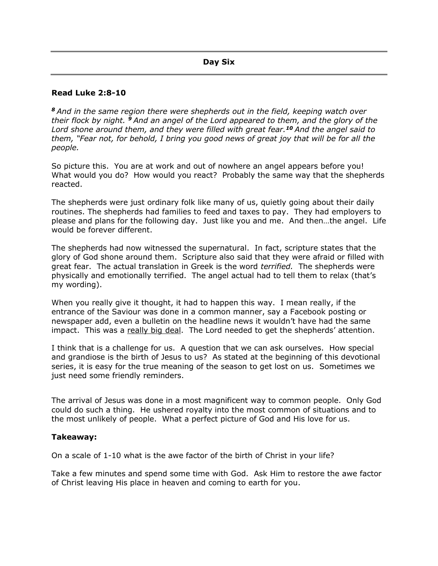#### **Read Luke 2:8-10**

*<sup>8</sup> And in the same region there were shepherds out in the field, keeping watch over their flock by night. <sup>9</sup> And an angel of the Lord appeared to them, and the glory of the Lord shone around them, and they were filled with great fear.<sup>10</sup> And the angel said to them, "Fear not, for behold, I bring you good news of great joy that will be for all the people.*

So picture this. You are at work and out of nowhere an angel appears before you! What would you do? How would you react? Probably the same way that the shepherds reacted.

The shepherds were just ordinary folk like many of us, quietly going about their daily routines. The shepherds had families to feed and taxes to pay. They had employers to please and plans for the following day. Just like you and me. And then…the angel. Life would be forever different.

The shepherds had now witnessed the supernatural. In fact, scripture states that the glory of God shone around them. Scripture also said that they were afraid or filled with great fear. The actual translation in Greek is the word *terrified.* The shepherds were physically and emotionally terrified. The angel actual had to tell them to relax (that's my wording).

When you really give it thought, it had to happen this way. I mean really, if the entrance of the Saviour was done in a common manner, say a Facebook posting or newspaper add, even a bulletin on the headline news it wouldn't have had the same impact. This was a really big deal. The Lord needed to get the shepherds' attention.

I think that is a challenge for us. A question that we can ask ourselves. How special and grandiose is the birth of Jesus to us? As stated at the beginning of this devotional series, it is easy for the true meaning of the season to get lost on us. Sometimes we just need some friendly reminders.

The arrival of Jesus was done in a most magnificent way to common people. Only God could do such a thing. He ushered royalty into the most common of situations and to the most unlikely of people. What a perfect picture of God and His love for us.

#### **Takeaway:**

On a scale of 1-10 what is the awe factor of the birth of Christ in your life?

Take a few minutes and spend some time with God. Ask Him to restore the awe factor of Christ leaving His place in heaven and coming to earth for you.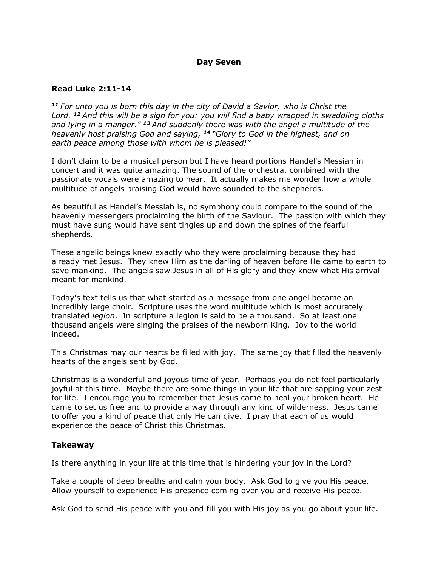#### **Read Luke 2:11-14**

*<sup>11</sup> For unto you is born this day in the city of David a Savior, who is Christ the Lord. <sup>12</sup> And this will be a sign for you: you will find a baby wrapped in swaddling cloths and lying in a manger." <sup>13</sup> And suddenly there was with the angel a multitude of the heavenly host praising God and saying, <sup>14</sup> "Glory to God in the highest, and on earth peace among those with whom he is pleased!"*

I don't claim to be a musical person but I have heard portions Handel's Messiah in concert and it was quite amazing. The sound of the orchestra, combined with the passionate vocals were amazing to hear. It actually makes me wonder how a whole multitude of angels praising God would have sounded to the shepherds.

As beautiful as Handel's Messiah is, no symphony could compare to the sound of the heavenly messengers proclaiming the birth of the Saviour. The passion with which they must have sung would have sent tingles up and down the spines of the fearful shepherds.

These angelic beings knew exactly who they were proclaiming because they had already met Jesus. They knew Him as the darling of heaven before He came to earth to save mankind. The angels saw Jesus in all of His glory and they knew what His arrival meant for mankind.

Today's text tells us that what started as a message from one angel became an incredibly large choir. Scripture uses the word multitude which is most accurately translated *legion*. In scripture a legion is said to be a thousand. So at least one thousand angels were singing the praises of the newborn King. Joy to the world indeed.

This Christmas may our hearts be filled with joy. The same joy that filled the heavenly hearts of the angels sent by God.

Christmas is a wonderful and joyous time of year. Perhaps you do not feel particularly joyful at this time. Maybe there are some things in your life that are sapping your zest for life. I encourage you to remember that Jesus came to heal your broken heart. He came to set us free and to provide a way through any kind of wilderness. Jesus came to offer you a kind of peace that only He can give. I pray that each of us would experience the peace of Christ this Christmas.

## **Takeaway**

Is there anything in your life at this time that is hindering your joy in the Lord?

Take a couple of deep breaths and calm your body. Ask God to give you His peace. Allow yourself to experience His presence coming over you and receive His peace.

Ask God to send His peace with you and fill you with His joy as you go about your life.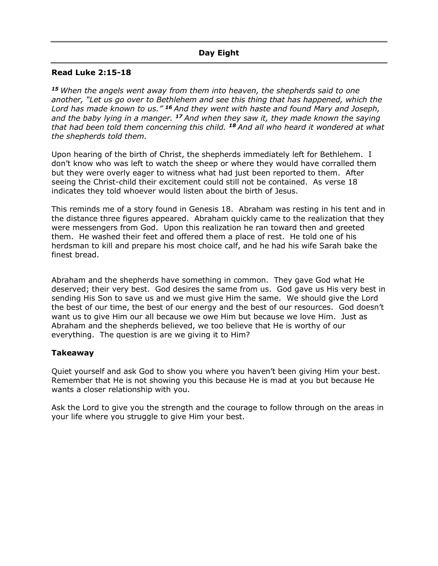# **Day Eight**

# **Read Luke 2:15-18**

*<sup>15</sup> When the angels went away from them into heaven, the shepherds said to one another, "Let us go over to Bethlehem and see this thing that has happened, which the Lord has made known to us." <sup>16</sup> And they went with haste and found Mary and Joseph, and the baby lying in a manger. <sup>17</sup> And when they saw it, they made known the saying that had been told them concerning this child. <sup>18</sup> And all who heard it wondered at what the shepherds told them.*

Upon hearing of the birth of Christ, the shepherds immediately left for Bethlehem. I don't know who was left to watch the sheep or where they would have corralled them but they were overly eager to witness what had just been reported to them. After seeing the Christ-child their excitement could still not be contained. As verse 18 indicates they told whoever would listen about the birth of Jesus.

This reminds me of a story found in Genesis 18. Abraham was resting in his tent and in the distance three figures appeared. Abraham quickly came to the realization that they were messengers from God. Upon this realization he ran toward then and greeted them. He washed their feet and offered them a place of rest. He told one of his herdsman to kill and prepare his most choice calf, and he had his wife Sarah bake the finest bread.

Abraham and the shepherds have something in common. They gave God what He deserved; their very best. God desires the same from us. God gave us His very best in sending His Son to save us and we must give Him the same. We should give the Lord the best of our time, the best of our energy and the best of our resources. God doesn't want us to give Him our all because we owe Him but because we love Him. Just as Abraham and the shepherds believed, we too believe that He is worthy of our everything. The question is are we giving it to Him?

## **Takeaway**

Quiet yourself and ask God to show you where you haven't been giving Him your best. Remember that He is not showing you this because He is mad at you but because He wants a closer relationship with you.

Ask the Lord to give you the strength and the courage to follow through on the areas in your life where you struggle to give Him your best.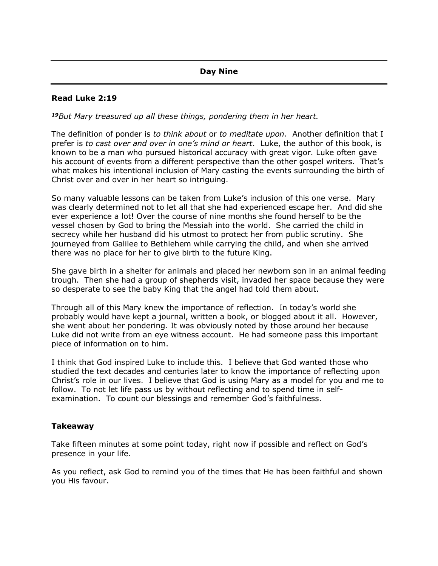# **Day Nine**

## **Read Luke 2:19**

*<sup>19</sup>But Mary treasured up all these things, pondering them in her heart.*

The definition of ponder is *to think about* or *to meditate upon.* Another definition that I prefer is *to cast over and over in one's mind or heart*. Luke, the author of this book, is known to be a man who pursued historical accuracy with great vigor. Luke often gave his account of events from a different perspective than the other gospel writers. That's what makes his intentional inclusion of Mary casting the events surrounding the birth of Christ over and over in her heart so intriguing.

So many valuable lessons can be taken from Luke's inclusion of this one verse. Mary was clearly determined not to let all that she had experienced escape her. And did she ever experience a lot! Over the course of nine months she found herself to be the vessel chosen by God to bring the Messiah into the world. She carried the child in secrecy while her husband did his utmost to protect her from public scrutiny. She journeyed from Galilee to Bethlehem while carrying the child, and when she arrived there was no place for her to give birth to the future King.

She gave birth in a shelter for animals and placed her newborn son in an animal feeding trough. Then she had a group of shepherds visit, invaded her space because they were so desperate to see the baby King that the angel had told them about.

Through all of this Mary knew the importance of reflection. In today's world she probably would have kept a journal, written a book, or blogged about it all. However, she went about her pondering. It was obviously noted by those around her because Luke did not write from an eye witness account. He had someone pass this important piece of information on to him.

I think that God inspired Luke to include this. I believe that God wanted those who studied the text decades and centuries later to know the importance of reflecting upon Christ's role in our lives. I believe that God is using Mary as a model for you and me to follow. To not let life pass us by without reflecting and to spend time in selfexamination. To count our blessings and remember God's faithfulness.

## **Takeaway**

Take fifteen minutes at some point today, right now if possible and reflect on God's presence in your life.

As you reflect, ask God to remind you of the times that He has been faithful and shown you His favour.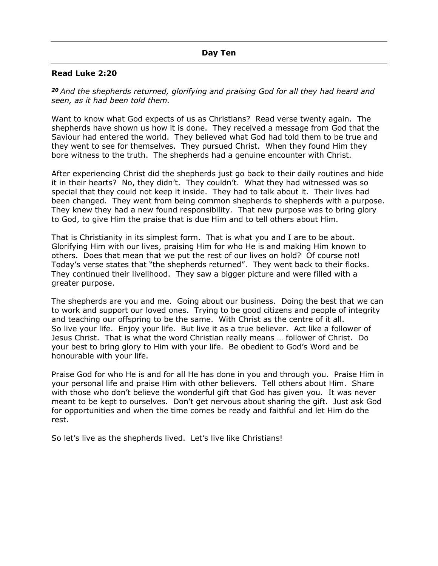## **Read Luke 2:20**

*<sup>20</sup> And the shepherds returned, glorifying and praising God for all they had heard and seen, as it had been told them.*

Want to know what God expects of us as Christians? Read verse twenty again. The shepherds have shown us how it is done. They received a message from God that the Saviour had entered the world. They believed what God had told them to be true and they went to see for themselves. They pursued Christ. When they found Him they bore witness to the truth. The shepherds had a genuine encounter with Christ.

After experiencing Christ did the shepherds just go back to their daily routines and hide it in their hearts? No, they didn't. They couldn't. What they had witnessed was so special that they could not keep it inside. They had to talk about it. Their lives had been changed. They went from being common shepherds to shepherds with a purpose. They knew they had a new found responsibility. That new purpose was to bring glory to God, to give Him the praise that is due Him and to tell others about Him.

That is Christianity in its simplest form. That is what you and I are to be about. Glorifying Him with our lives, praising Him for who He is and making Him known to others. Does that mean that we put the rest of our lives on hold? Of course not! Today's verse states that "the shepherds returned". They went back to their flocks. They continued their livelihood. They saw a bigger picture and were filled with a greater purpose.

The shepherds are you and me. Going about our business. Doing the best that we can to work and support our loved ones. Trying to be good citizens and people of integrity and teaching our offspring to be the same. With Christ as the centre of it all. So live your life. Enjoy your life. But live it as a true believer. Act like a follower of Jesus Christ. That is what the word Christian really means … follower of Christ. Do your best to bring glory to Him with your life. Be obedient to God's Word and be honourable with your life.

Praise God for who He is and for all He has done in you and through you. Praise Him in your personal life and praise Him with other believers. Tell others about Him. Share with those who don't believe the wonderful gift that God has given you. It was never meant to be kept to ourselves. Don't get nervous about sharing the gift. Just ask God for opportunities and when the time comes be ready and faithful and let Him do the rest.

So let's live as the shepherds lived. Let's live like Christians!